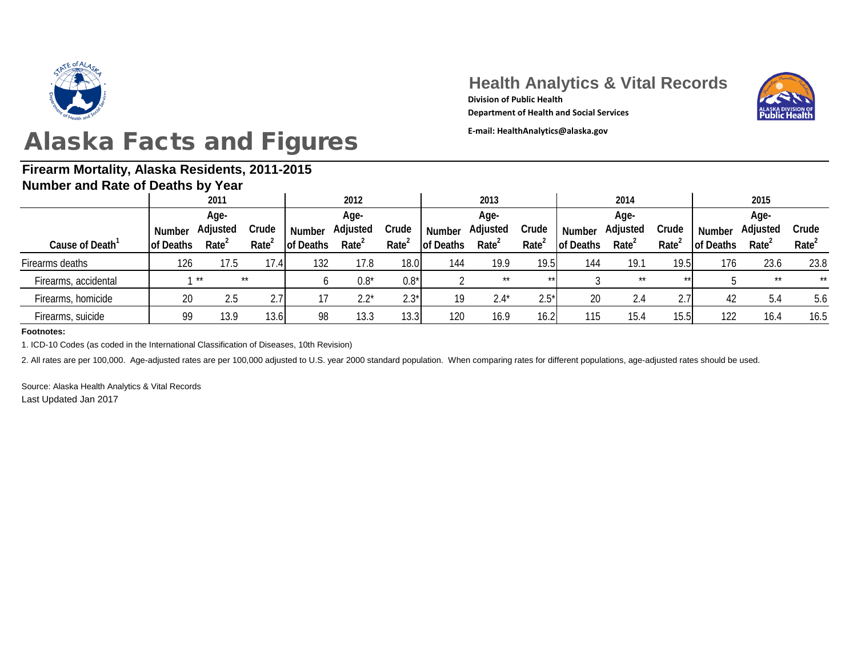

#### **Firearm Mortality, Alaska Residents, 2011-2015 Number and Rate of Deaths by Year**

### **Health Analytics & Vital Records**



**Department of Health and Social Services**

**Division of Public Health**

| <b>HUILING AND RAIG OF DUALITY BY TUAL</b> |           |                   |                   |                  |                   |                   |                  |                   |                   |           |                   |                   |                  |                   |                   |
|--------------------------------------------|-----------|-------------------|-------------------|------------------|-------------------|-------------------|------------------|-------------------|-------------------|-----------|-------------------|-------------------|------------------|-------------------|-------------------|
|                                            |           | 2011              |                   |                  | 2012              |                   |                  | 2013              |                   |           | 2014              |                   |                  |                   |                   |
|                                            | Age-      |                   |                   | Age-             |                   |                   | Age-             |                   |                   |           | Age-              |                   |                  |                   |                   |
|                                            | Number    | Adjusted          | Crude             | <b>Number</b>    | Adjusted          | Crude             | <b>Number</b>    | Adjusted          | Crude             | Number    | Adjusted          | Crude             | <b>Number</b>    | Adjusted          | Crude             |
| Cause of Death                             | of Deaths | Rate <sup>4</sup> | Rate <sup>2</sup> | <b>of Deaths</b> | Rate <sup>2</sup> | Rate <sup>2</sup> | <b>of Deaths</b> | Rate <sup>2</sup> | Rate <sup>2</sup> | of Deaths | Rate <sup>2</sup> | Rate <sup>®</sup> | <b>of Deaths</b> | Rate <sup>2</sup> | Rate <sup>2</sup> |
| Firearms deaths                            | 126       | 17.5              | 17.4              | 132              | 17.8              | 18.0              | 144              | 19.9              | 19.5              | 144       | 19.1              | 19.5              | 176              | 23.6              | 23.8              |
| Firearms, accidental                       |           | $1 * x$           | $\star\star$      | O                | $0.8*$            | $0.8*$            |                  | $***$             | $**$              |           | $\star\star$      | $**$              |                  | $***$             | $***$             |
| Firearms, homicide                         | 20        | 2.5               | 2.7               | 17               | $2.2*$            | $2.3*$            | 19               | $2.4*$            | $2.5*$            | 20        | 2.4               | 2.7               | 42               | 5.4               | 5.6               |
| Firearms, suicide                          | 99        | 13.9              | 13.6              | 98               | 13.3              | 13.3              | 120              | 16.9              | 16.2              | 115       | 15.4              | 15.5              | 122              | 16.4              | 16.5              |
|                                            |           |                   |                   |                  |                   |                   |                  |                   |                   |           |                   |                   |                  |                   |                   |

**Footnotes:**

1. ICD-10 Codes (as coded in the International Classification of Diseases, 10th Revision)

2. All rates are per 100,000. Age-adjusted rates are per 100,000 adjusted to U.S. year 2000 standard population. When comparing rates for different populations, age-adjusted rates should be used.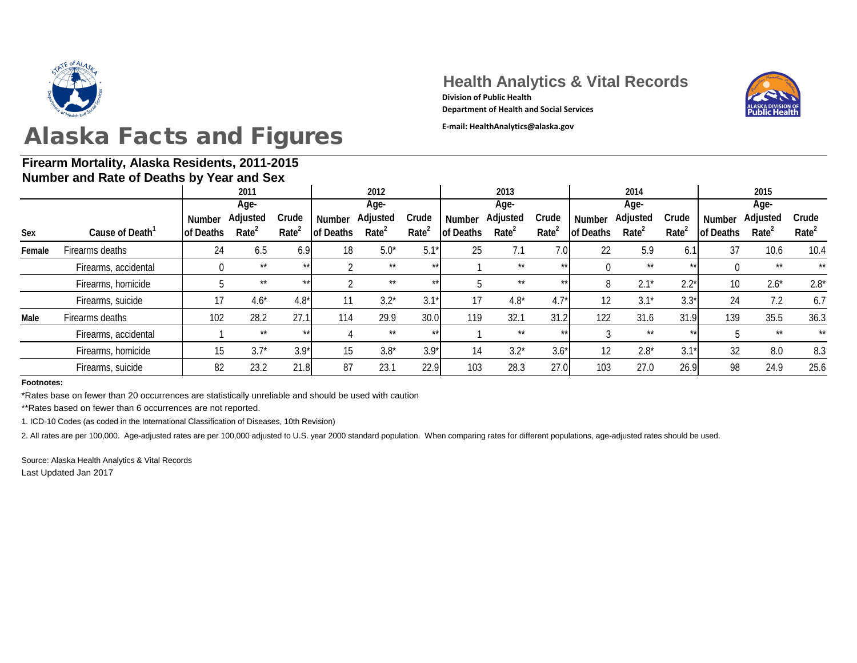

#### **Firearm Mortality, Alaska Residents, 2011-2015 Number and Rate of Deaths by Year and Sex**

**Health Analytics & Vital Records Division of Public Health**

**Department of Health and Social Services**



|                      |               | 2011              |                   |                                                     | 2012                                                     |                   |               | 2013              |                               |        | 2014                          |                                     | 2015          |                                                                        |                   |
|----------------------|---------------|-------------------|-------------------|-----------------------------------------------------|----------------------------------------------------------|-------------------|---------------|-------------------|-------------------------------|--------|-------------------------------|-------------------------------------|---------------|------------------------------------------------------------------------|-------------------|
|                      |               | Age-              |                   |                                                     | Age-                                                     |                   |               | Age-              |                               |        | Age-                          |                                     | Age-          |                                                                        |                   |
|                      | <b>Number</b> |                   | Crude             | <b>Number</b>                                       | Adjusted                                                 | Crude             | <b>Number</b> | Adjusted          | Crude                         | Number | Adjusted                      | Crude                               | <b>Number</b> | Adjusted                                                               | Crude             |
| Cause of Death       |               | Rate <sup>2</sup> | Rate <sup>2</sup> | of Deaths                                           | Rate <sup>2</sup>                                        | Rate <sup>2</sup> |               | Rate <sup>2</sup> | Rate <sup>2</sup>             |        | Rate <sup>2</sup>             | Rate <sup>2</sup>                   |               | Rate <sup>2</sup>                                                      | Rate <sup>2</sup> |
| Firearms deaths      | 24            | 6.5               |                   |                                                     | $5.0*$                                                   | $5.1*$            |               | 7.1               |                               | 22     | 5.9                           | 6.1                                 | 37            | 10.6                                                                   | 10.4              |
| Firearms, accidental | $\theta$      | $***$             |                   |                                                     | $***$                                                    | $***$             |               | $***$             | $***$                         |        | $***$                         |                                     |               | $***$                                                                  | $**$              |
| Firearms, homicide   |               | $***$             | $**$              |                                                     | $\star\star$                                             | $***$             |               | $***$             | $***$                         | 8      | $2.1*$                        |                                     | 10            | $2.6*$                                                                 | $2.8*$            |
| Firearms, suicide    | 17            | $4.6*$            |                   | 11                                                  | $3.2*$                                                   | $3.1*$            | 17            | $4.8*$            |                               |        | $3.1*$                        |                                     | 24            | 7.2                                                                    | 6.7               |
| Firearms deaths      | 102           | 28.2              |                   | 114                                                 | 29.9                                                     |                   | 119           | 32.1              |                               | 122    | 31.6                          |                                     | 139           | 35.5                                                                   | 36.3              |
| Firearms, accidental |               | $***$             |                   |                                                     | $\star\star$                                             | $***$             |               | $***$             | $***$                         |        | $***$                         |                                     |               | $***$                                                                  | $**$              |
| Firearms, homicide   | 15            | $3.7*$            |                   | 15                                                  | $3.8*$                                                   | $3.9*$            | 14            | $3.2*$            | $3.6*$                        |        | $2.8*$                        | $3.1*$                              | 32            | 8.0                                                                    | 8.3               |
| Firearms, suicide    | 82            | 23.2              |                   | 87                                                  | 23.1                                                     |                   |               | 28.3              |                               |        | 27.0                          |                                     | 98            | 24.9                                                                   | 25.6              |
|                      |               | <b>of Deaths</b>  | Adjusted          | <b>NUMBER OF STREET OF DUCINI</b> S BY TUGH AND UCA | 6.9<br>$***$<br>$4.8*$<br>27.1<br>$**$<br>$3.9*$<br>21.8 | 18                |               | 30.0<br>22.9      | <b>of Deaths</b><br>25<br>103 |        | 7.0<br>$4.7*$<br>31.2<br>27.0 | <b>of Deaths</b><br>12<br>12<br>103 |               | <b>of Deaths</b><br>$***$<br>$2.2*$<br>$3.3*$<br>31.9<br>$***$<br>26.9 |                   |

**Footnotes:**

\*Rates base on fewer than 20 occurrences are statistically unreliable and should be used with caution

\*\*Rates based on fewer than 6 occurrences are not reported.

1. ICD-10 Codes (as coded in the International Classification of Diseases, 10th Revision)

2. All rates are per 100,000. Age-adjusted rates are per 100,000 adjusted to U.S. year 2000 standard population. When comparing rates for different populations, age-adjusted rates should be used.

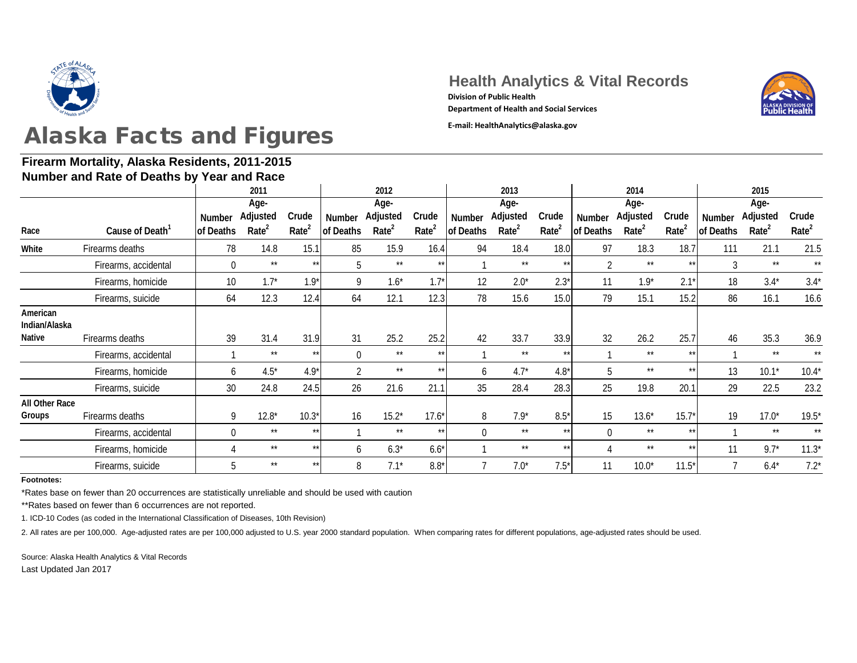

### **Firearm Mortality, Alaska Residents, 2011-2015**

**Health Analytics & Vital Records** 





|                                     | Number and Rate of Deaths by Year and Race |                            |                                       |                            |                            |                                       |                            |                            |                                       |                            |                            |                                       |                            |                            |                                       |                            |
|-------------------------------------|--------------------------------------------|----------------------------|---------------------------------------|----------------------------|----------------------------|---------------------------------------|----------------------------|----------------------------|---------------------------------------|----------------------------|----------------------------|---------------------------------------|----------------------------|----------------------------|---------------------------------------|----------------------------|
|                                     |                                            |                            | 2011                                  |                            |                            | 2012                                  |                            |                            | 2013                                  |                            |                            | 2014                                  |                            | 2015                       |                                       |                            |
| Race                                | Cause of Death <sup>1</sup>                | <b>Number</b><br>of Deaths | Age-<br>Adjusted<br>Rate <sup>2</sup> | Crude<br>Rate <sup>2</sup> | <b>Number</b><br>of Deaths | Age-<br>Adjusted<br>Rate <sup>2</sup> | Crude<br>Rate <sup>2</sup> | <b>Number</b><br>of Deaths | Age-<br>Adjusted<br>Rate <sup>2</sup> | Crude<br>Rate <sup>2</sup> | <b>Number</b><br>of Deaths | Age-<br>Adjusted<br>Rate <sup>2</sup> | Crude<br>Rate <sup>2</sup> | <b>Number</b><br>of Deaths | Age-<br>Adjusted<br>Rate <sup>2</sup> | Crude<br>Rate <sup>2</sup> |
| White                               | Firearms deaths                            | 78                         | 14.8                                  | 15.1                       | 85                         | 15.9                                  | 16.4                       | 94                         | 18.4                                  | 18.0                       | 97                         | 18.3                                  | 18.7                       | 111                        | 21.1                                  | 21.5                       |
|                                     | Firearms, accidental                       | $\Omega$                   | $***$                                 | $**$                       | 5                          | $***$                                 | $***$                      |                            | $***$                                 | $***$                      | L                          | $***$                                 | $**$                       | 3                          | $***$                                 | $***$                      |
|                                     | Firearms, homicide                         | 10                         | $1.7*$                                | $1.9*$                     | 9                          | $1.6*$                                | $1.7^*$                    | 12                         | $2.0*$                                | $2.3*$                     | 11                         | $1.9*$                                | 2.1'                       | 18                         | $3.4*$                                | $3.4*$                     |
|                                     | Firearms, suicide                          | 64                         | 12.3                                  | 12.4                       | 64                         | 12.1                                  | 12.3                       | 78                         | 15.6                                  | 15.0                       | 79                         | 15.1                                  | 15.2                       | 86                         | 16.1                                  | 16.6                       |
| American<br>Indian/Alaska<br>Native | Firearms deaths                            | 39                         | 31.4                                  | 31.9                       | 31                         | 25.2                                  | 25.2                       | 42                         | 33.7                                  | 33.9                       | 32                         | 26.2                                  | 25.7                       | 46                         | 35.3                                  | 36.9                       |
|                                     | Firearms, accidental                       |                            | $***$                                 | $*$                        | $\overline{0}$             | $***$                                 | $***$                      |                            | $***$                                 | $***$                      |                            | $***$                                 | $***$                      |                            | $***$                                 | $\star\star$               |
|                                     | Firearms, homicide                         | 6                          | $4.5*$                                | $4.9*$                     | $\overline{2}$             | $***$                                 |                            | b                          | $4.7*$                                | $4.8*$                     | 5                          | $***$                                 | $***$                      | 13                         | $10.1*$                               | $10.4*$                    |
|                                     | Firearms, suicide                          | 30 <sup>°</sup>            | 24.8                                  | 24.5                       | 26                         | 21.6                                  | 21.1                       | 35                         | 28.4                                  | 28.3                       | 25                         | 19.8                                  | 20.1                       | 29                         | 22.5                                  | 23.2                       |
| All Other Race<br>Groups            | Firearms deaths                            | 9                          | $12.8*$                               | $10.3*$                    | 16                         | $15.2*$                               | $17.6*$                    | 8                          | $7.9*$                                | $8.5*$                     | 15                         | $13.6*$                               | $15.7*$                    | 19                         | $17.0*$                               | $19.5*$                    |
|                                     | Firearms, accidental                       | $\overline{0}$             | $***$                                 | $**$                       |                            | $***$                                 | $***$                      | $\theta$                   | $***$                                 | $***$                      | $\Omega$                   | $***$                                 | $**$                       |                            | $***$                                 | $***$                      |
|                                     | Firearms, homicide                         |                            | $***$                                 | $*$                        | 6                          | $6.3*$                                | $6.6*$                     |                            | $***$                                 | $***$                      |                            | $***$                                 | $***$                      | 11                         | $9.7*$                                | $11.3*$                    |
|                                     | Firearms, suicide                          | 5                          | $***$                                 | $*$                        | 8                          | $7.1*$                                | $8.8*$                     |                            | $7.0*$                                | $7.5*$                     | 11                         | $10.0*$                               | $11.5*$                    |                            | $6.4*$                                | $7.2*$                     |

**Footnotes:**

\*Rates base on fewer than 20 occurrences are statistically unreliable and should be used with caution

\*\*Rates based on fewer than 6 occurrences are not reported.

1. ICD-10 Codes (as coded in the International Classification of Diseases, 10th Revision)

2. All rates are per 100,000. Age-adjusted rates are per 100,000 adjusted to U.S. year 2000 standard population. When comparing rates for different populations, age-adjusted rates should be used.

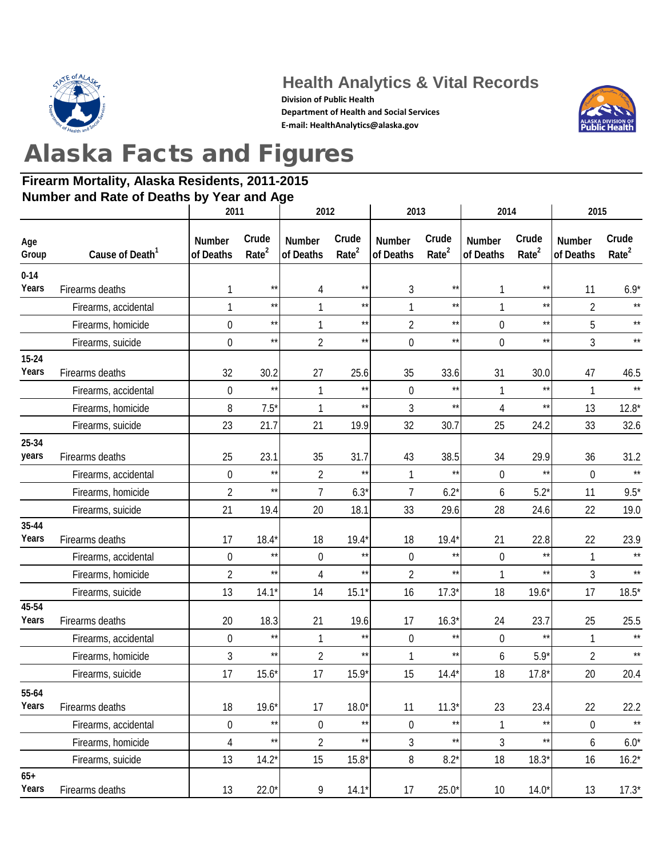

### **Health Analytics & Vital Records**

**Division of Public Health Department of Health and Social Services E-mail: HealthAnalytics@alaska.gov**



# Alaska Facts and Figures

#### **Firearm Mortality, Alaska Residents, 2011-2015 Number and Rate of Deaths by Year and Age**

|                    |                             | 2011                       |                            | 2012                       |                            | 2013                       |                            | 2014                       |                            | 2015                |                            |  |
|--------------------|-----------------------------|----------------------------|----------------------------|----------------------------|----------------------------|----------------------------|----------------------------|----------------------------|----------------------------|---------------------|----------------------------|--|
| Age<br>Group       | Cause of Death <sup>1</sup> | <b>Number</b><br>of Deaths | Crude<br>Rate <sup>2</sup> | <b>Number</b><br>of Deaths | Crude<br>Rate <sup>2</sup> | <b>Number</b><br>of Deaths | Crude<br>Rate <sup>2</sup> | <b>Number</b><br>of Deaths | Crude<br>Rate <sup>2</sup> | Number<br>of Deaths | Crude<br>Rate <sup>2</sup> |  |
| $0 - 14$           |                             |                            |                            |                            |                            |                            |                            |                            |                            |                     |                            |  |
| Years              | Firearms deaths             | 1                          | $\star\star$               | 4                          | $\star\star$               | 3                          | $\star\star$               |                            | $\star\star$               | 11                  | $6.9*$                     |  |
|                    | Firearms, accidental        | 1                          | $\star\star$               | 1                          | $\star\star$               |                            | $\star\star$               |                            | $\star\star$               | $\overline{2}$      | $\star\star$               |  |
|                    | Firearms, homicide          | 0                          | $\star\star$               | 1                          | $\star\star$               | $\overline{2}$             | $\star\star$               | $\overline{0}$             | $\star\star$               | 5                   | $\star\star$               |  |
|                    | Firearms, suicide           | 0                          | $\star\star$               | $\overline{2}$             | $\star\star$               | $\mathbf 0$                | $\star\star$               | $\boldsymbol{0}$           | $\star\star$               | 3                   | $\star\star$               |  |
| $15 - 24$<br>Years | Firearms deaths             | 32                         | 30.2                       | 27                         | 25.6                       | 35                         | 33.6                       | 31                         | 30.0                       | 47                  | 46.5                       |  |
|                    | Firearms, accidental        | $\boldsymbol{0}$           | $\star\star$               | 1                          | $\star\star$               | $\mathbf 0$                | $\star\star$               |                            | $\star\star$               | $\mathbf{1}$        | $\star\star$               |  |
|                    | Firearms, homicide          | 8                          | $7.5*$                     | 1                          | $\star\star$               | 3                          | $\star\star$               | 4                          | $\star\star$               | 13                  | $12.8*$                    |  |
|                    | Firearms, suicide           | 23                         | 21.7                       | 21                         | 19.9                       | 32                         | 30.7                       | 25                         | 24.2                       | 33                  | 32.6                       |  |
| 25-34<br>years     | Firearms deaths             | 25                         | 23.1                       | 35                         | 31.7                       | 43                         | 38.5                       | 34                         | 29.9                       | 36                  | 31.2                       |  |
|                    | Firearms, accidental        | $\boldsymbol{0}$           | $***$                      | $\overline{2}$             | $\star\star$               |                            | $\star\star$               | $\theta$                   | $\star\star$               | $\overline{0}$      | $\star\star$               |  |
|                    | Firearms, homicide          | $\overline{2}$             | $\star\star$               | $\overline{7}$             | $6.3*$                     | $\overline{7}$             | $6.2*$                     | 6                          | $5.2*$                     | 11                  | $9.5*$                     |  |
|                    | Firearms, suicide           | 21                         | 19.4                       | 20                         | 18.1                       | 33                         | 29.6                       | 28                         | 24.6                       | 22                  | 19.0                       |  |
| $35 - 44$<br>Years | Firearms deaths             | 17                         | $18.4*$                    | 18                         | $19.4*$                    | 18                         | $19.4*$                    | 21                         | 22.8                       | 22                  | 23.9                       |  |
|                    | Firearms, accidental        | $\overline{0}$             | $\star\star$               | $\theta$                   | $\star\star$               | $\mathbf 0$                | $\star\star$               | $\theta$                   | $\star\star$               | $\mathbf{1}$        | $\star\star$               |  |
|                    | Firearms, homicide          | $\overline{2}$             | $\star\star$               | 4                          | $\star\star$               | $\overline{2}$             | $\star\star$               |                            | $\star\star$               | 3                   | $\star\star$               |  |
|                    | Firearms, suicide           | 13                         | $14.1*$                    | 14                         | $15.1*$                    | 16                         | $17.3*$                    | 18                         | $19.6*$                    | 17                  | $18.5*$                    |  |
| 45-54<br>Years     | Firearms deaths             | 20                         | 18.3                       | 21                         | 19.6                       | 17                         | $16.3*$                    | 24                         | 23.7                       | 25                  | 25.5                       |  |
|                    | Firearms, accidental        | 0                          | $\star\star$               |                            | $\star\star$               | $\mathbf 0$                | $\star\star$               | $\mathbf 0$                | $\star\star$               | 1                   | $\star\star$               |  |
|                    | Firearms, homicide          | 3                          | $\star\star$               | $\overline{2}$             | $\star\star$               |                            | $\star\star$               | 6                          | $5.9*$                     | $\overline{2}$      | $\star\star$               |  |
|                    | Firearms, suicide           | 17                         | $15.6*$                    | 17                         | $15.9*$                    | 15                         | $14.4*$                    | 18                         | $17.8*$                    | 20                  | 20.4                       |  |
| 55-64<br>Years     | Firearms deaths             | 18                         | $19.6*$                    | 17                         | $18.0*$                    | 11                         | $11.3*$                    | 23                         | 23.4                       | 22                  | 22.2                       |  |
|                    | Firearms, accidental        | $\boldsymbol{0}$           | $\star\star$               | $\boldsymbol{0}$           | $\star\star$               | $\mathbf 0$                | $***$                      |                            | $\star\star$               | $\theta$            | $\star\star$               |  |
|                    | Firearms, homicide          | 4                          | $\star\star$               | $\overline{2}$             | $\star\star$               | 3                          | $\star\star$               | 3                          | $\star\star$               | 6                   | $6.0*$                     |  |
|                    | Firearms, suicide           | 13                         | $14.2*$                    | 15                         | $15.8*$                    | 8                          | $8.2*$                     | 18                         | $18.3*$                    | 16                  | $16.2*$                    |  |
| $65+$<br>Years     | Firearms deaths             | 13                         | $22.0^*$                   | 9                          | $14.1*$                    | 17                         | $25.0*$                    | 10                         | $14.0*$                    | 13                  | $17.3*$                    |  |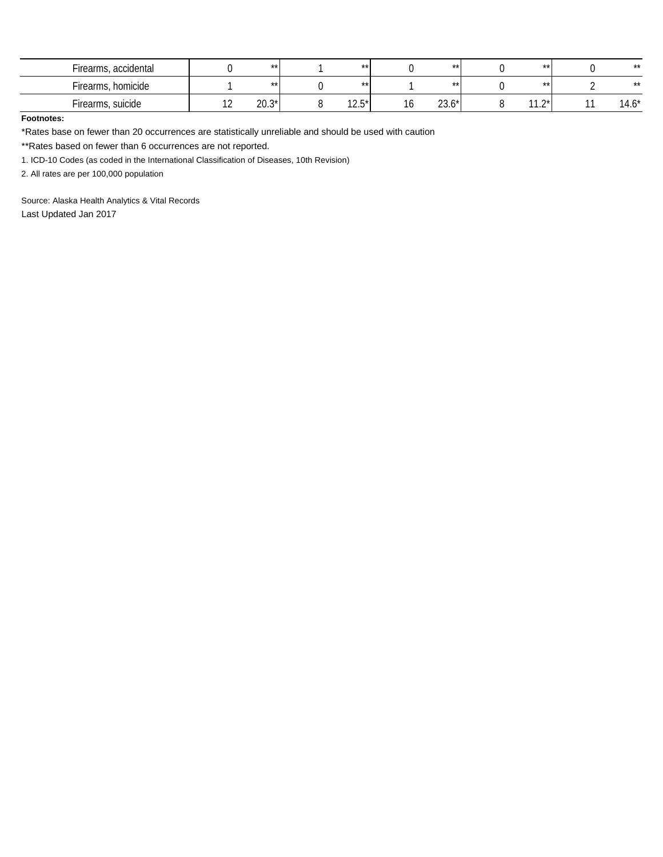| Firearms, accidental |               | $***$   | $***$           | $***$           | $***$                                      | $***$   |
|----------------------|---------------|---------|-----------------|-----------------|--------------------------------------------|---------|
| Firearms, homicide   |               | $***$   | $***$           | $***$           | $***$                                      | $***$   |
| Firearms, suicide    | $\sim$<br>. . | $20.3*$ | $12E^*$<br>ن ۱۷ | $22K^*$<br>ZJ.U | $11.0*$<br>$\overline{1}$ . $\overline{2}$ | $14.6*$ |

#### **Footnotes:**

\*Rates base on fewer than 20 occurrences are statistically unreliable and should be used with caution

\*\*Rates based on fewer than 6 occurrences are not reported.

1. ICD-10 Codes (as coded in the International Classification of Diseases, 10th Revision)

2. All rates are per 100,000 population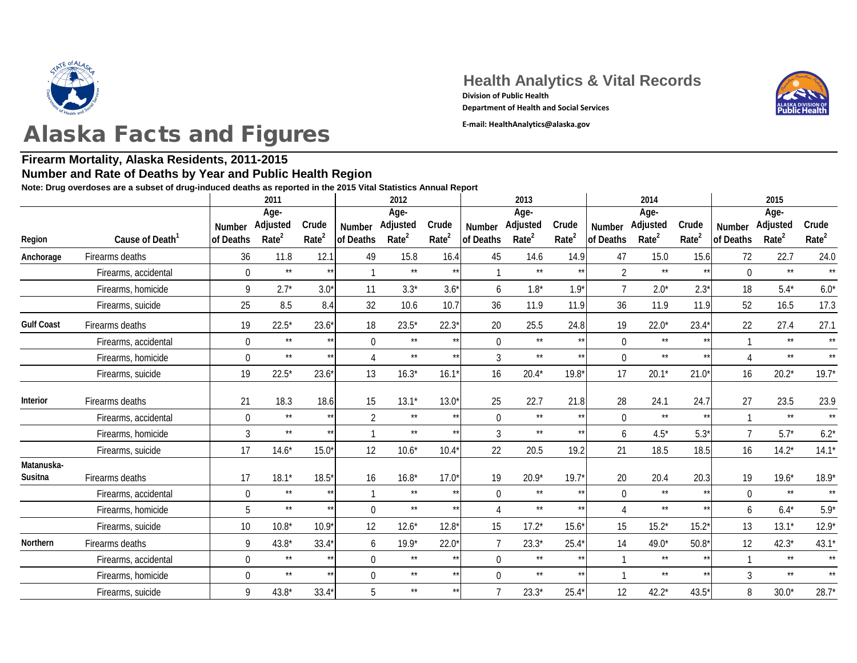

### **Firearm Mortality, Alaska Residents, 2011-2015**

#### **Number and Rate of Deaths by Year and Public Health Region**

**Note: Drug overdoses are a subset of drug-induced deaths as reported in the 2015 Vital Statistics Annual Report**

|                       |                             |                | 2011              |                   |                  | 2012              |                   |                | 2013              |                   |                | 2014              |                   | 2015           |                   |                   |
|-----------------------|-----------------------------|----------------|-------------------|-------------------|------------------|-------------------|-------------------|----------------|-------------------|-------------------|----------------|-------------------|-------------------|----------------|-------------------|-------------------|
|                       |                             |                | Age-              |                   |                  | Age-              |                   |                | Age-              |                   |                | Age-              |                   |                | Age-              |                   |
|                       |                             | Number         | Adjusted          | Crude             | <b>Number</b>    | Adjusted          | Crude             | Number         | Adjusted          | Crude             | Number         | Adjusted          | Crude             | Number         | Adjusted          | Crude             |
| Region                | Cause of Death <sup>1</sup> | of Deaths      | Rate <sup>2</sup> | Rate <sup>2</sup> | of Deaths        | Rate <sup>2</sup> | Rate <sup>2</sup> | of Deaths      | Rate <sup>2</sup> | Rate <sup>2</sup> | of Deaths      | Rate <sup>2</sup> | Rate <sup>2</sup> | of Deaths      | Rate <sup>2</sup> | Rate <sup>2</sup> |
| Anchorage             | Firearms deaths             | 36             | 11.8              | 12.1              | 49               | 15.8              | 16.4              | 45             | 14.6              | 14.9              | 47             | 15.0              | 15.6              | 72             | 22.7              | 24.0              |
|                       | Firearms, accidental        | $\overline{0}$ | $\star\star$      | $**$              | $\mathbf 1$      | $\star\star$      |                   |                | $***$             | $***$             | $\overline{2}$ | $**$              |                   | $\overline{0}$ | $\star\star$      | $\star\star$      |
|                       | Firearms, homicide          | 9              | $2.7*$            | $3.0*$            | 11               | $3.3*$            | $3.6*$            | 6              | $1.8*$            | $1.9*$            |                | $2.0*$            | $2.3*$            | 18             | $5.4*$            | $6.0*$            |
|                       | Firearms, suicide           | 25             | 8.5               | 8.4               | 32               | 10.6              | 10.7              | 36             | 11.9              | 11.9              | 36             | 11.9              | 11.9              | 52             | 16.5              | 17.3              |
| <b>Gulf Coast</b>     | Firearms deaths             | 19             | $22.5*$           | $23.6*$           | 18               | $23.5*$           | $22.3*$           | 20             | 25.5              | 24.8              | 19             | $22.0*$           | $23.4*$           | 22             | 27.4              | 27.1              |
|                       | Firearms, accidental        | $\overline{0}$ | $\star\star$      | $\star\star$      | $\mathbf 0$      | $\star\star$      | $***$             | $\overline{0}$ | $\star\star$      | $\star\star$      | $\overline{0}$ | $\star\star$      | $***$             |                | $***$             | $\star\star$      |
|                       | Firearms, homicide          | $\overline{0}$ | $\star\star$      | $\star\star$      | $\overline{4}$   | $***$             |                   | $\mathfrak{Z}$ | $\star\star$      | $\star\star$      | $\overline{0}$ | $\star\star$      | $**$              |                | $\star\star$      | $\star\star$      |
|                       | Firearms, suicide           | 19             | $22.5*$           | $23.6*$           | 13               | $16.3*$           | 16.1              | 16             | $20.4*$           | $19.8*$           | 17             | $20.1*$           | $21.0*$           | 16             | $20.2*$           | 19.7'             |
| Interior              | Firearms deaths             | 21             | 18.3              | 18.6              | 15               | $13.1*$           | $13.0*$           | 25             | 22.7              | 21.8              | 28             | 24.1              | 24.7              | 27             | 23.5              | 23.9              |
|                       | Firearms, accidental        | $\overline{0}$ | $\star\star$      | $\star\star$      | $\overline{2}$   | $\star\star$      |                   | $\overline{0}$ | $\star\star$      | $\star\star$      | $\overline{0}$ | $**$              | $***$             |                | $***$             | $\star$           |
|                       | Firearms, homicide          | $\mathfrak{Z}$ | $\star\star$      | $***$             | $\mathbf{1}$     | $\star\star$      |                   | $\mathfrak{Z}$ | $\star\star$      | $\star\star$      | 6              | $4.5*$            | $5.3*$            | $\overline{7}$ | $5.7*$            | $6.2^*$           |
|                       | Firearms, suicide           | 17             | $14.6*$           | $15.0*$           | 12               | $10.6*$           | $10.4*$           | 22             | 20.5              | 19.2              | 21             | 18.5              | 18.5              | 16             | $14.2*$           | 14.1'             |
| Matanuska-<br>Susitna | Firearms deaths             | 17             | $18.1*$           | $18.5*$           | 16               | $16.8*$           | $17.0*$           | 19             | $20.9*$           | $19.7*$           | 20             | 20.4              | 20.3              | 19             | $19.6*$           | $18.9^{\circ}$    |
|                       | Firearms, accidental        | $\overline{0}$ | $\star\star$      | $\star\star$      |                  | $\star\star$      | $***$             | $\mathbf 0$    | $\star\star$      | $\star\star$      | $\overline{0}$ | $\star\star$      | $***$             | $\overline{0}$ | $\star\star$      | $\star$           |
|                       | Firearms, homicide          | 5              | $\star\star$      | $\star\star$      | $\boldsymbol{0}$ | $***$             | $**$              |                | $\star\star$      | $\star\star$      |                | $\star\star$      | $**$              | 6              | $6.4*$            | $5.9^{\circ}$     |
|                       |                             |                |                   |                   |                  |                   |                   |                |                   |                   |                |                   |                   |                |                   |                   |
|                       | Firearms, suicide           | 10             | $10.8*$           | $10.9*$           | 12               | $12.6*$           | $12.8*$           | 15             | $17.2*$           | $15.6*$           | 15             | $15.2*$           | $15.2*$           | 13             | $13.1*$           | 12.9'             |
| Northern              | Firearms deaths             | 9              | $43.8*$           | $33.4*$           | 6                | $19.9*$           | $22.0*$           | $\overline{7}$ | $23.3*$           | $25.4*$           | 14             | $49.0*$           | $50.8*$           | 12             | $42.3*$           | 43.1'             |
|                       | Firearms, accidental        | $\overline{0}$ | $\star\star$      | $\star\star$      | $\mathbf 0$      | $\star\star$      |                   | $\overline{0}$ | $\star\star$      | $\star\star$      |                | $\star\star$      |                   |                | $\star\star$      | $\star\star$      |
|                       | Firearms, homicide          | $\overline{0}$ | $\star\star$      | $\star\star$      | $\boldsymbol{0}$ | $\star\star$      | $\star\star$      | $\overline{0}$ | $\star\star$      | $\star\star$      |                | $\star\star$      |                   | $\overline{3}$ | $\star\star$      | $\star$           |
|                       | Firearms, suicide           | 9              | $43.8*$           | $33.4*$           | 5                | $\star\star$      |                   | $\overline{7}$ | $23.3*$           | $25.4*$           | 12             | $42.2*$           | $43.5*$           | 8              | $30.0*$           | 28.7'             |

**Health Analytics & Vital Records** 

**Department of Health and Social Services**

**Division of Public Health**